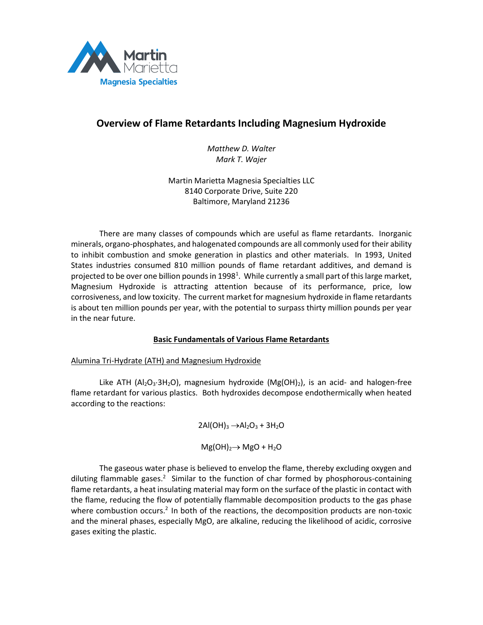

# **Overview of Flame Retardants Including Magnesium Hydroxide**

*Matthew D. Walter Mark T. Wajer*

Martin Marietta Magnesia Specialties LLC 8140 Corporate Drive, Suite 220 Baltimore, Maryland 21236

There are many classes of compounds which are useful as flame retardants. Inorganic minerals, organo-phosphates, and halogenated compounds are all commonly used for their ability to inhibit combustion and smoke generation in plastics and other materials. In 1993, United States industries consumed 810 million pounds of flame retardant additives, and demand is projected to be over one billion pounds in 1998<sup>1</sup>. While currently a small part of this large market, Magnesium Hydroxide is attracting attention because of its performance, price, low corrosiveness, and low toxicity. The current market for magnesium hydroxide in flame retardants is about ten million pounds per year, with the potential to surpass thirty million pounds per year in the near future.

# **Basic Fundamentals of Various Flame Retardants**

# Alumina Tri-Hydrate (ATH) and Magnesium Hydroxide

Like ATH ( $Al_2O_3·3H_2O$ ), magnesium hydroxide ( $Mg(OH)_2$ ), is an acid- and halogen-free flame retardant for various plastics. Both hydroxides decompose endothermically when heated according to the reactions:

> $2Al(OH)<sub>3</sub> \rightarrow Al<sub>2</sub>O<sub>3</sub> + 3H<sub>2</sub>O$  $Mg(OH)<sub>2</sub> \rightarrow MgO + H<sub>2</sub>O$

The gaseous water phase is believed to envelop the flame, thereby excluding oxygen and diluting flammable gases.<sup>2</sup> Similar to the function of char formed by phosphorous-containing flame retardants, a heat insulating material may form on the surface of the plastic in contact with the flame, reducing the flow of potentially flammable decomposition products to the gas phase where combustion occurs.<sup>2</sup> In both of the reactions, the decomposition products are non-toxic and the mineral phases, especially MgO, are alkaline, reducing the likelihood of acidic, corrosive gases exiting the plastic.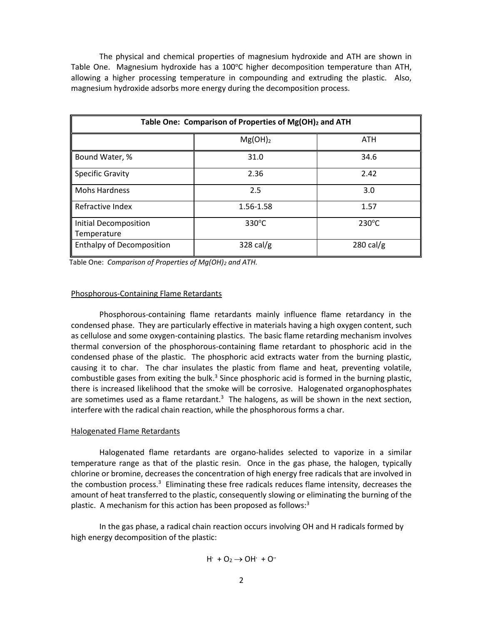The physical and chemical properties of magnesium hydroxide and ATH are shown in Table One. Magnesium hydroxide has a 100 $\degree$ C higher decomposition temperature than ATH, allowing a higher processing temperature in compounding and extruding the plastic. Also, magnesium hydroxide adsorbs more energy during the decomposition process.

| Table One: Comparison of Properties of Mg(OH) <sub>2</sub> and ATH |                 |                     |  |  |
|--------------------------------------------------------------------|-----------------|---------------------|--|--|
|                                                                    | $Mg(OH)_2$      | ATH                 |  |  |
| Bound Water, %                                                     | 31.0            | 34.6                |  |  |
| <b>Specific Gravity</b>                                            | 2.36            | 2.42                |  |  |
| <b>Mohs Hardness</b>                                               | 2.5             | 3.0                 |  |  |
| Refractive Index                                                   | 1.56-1.58       | 1.57                |  |  |
| Initial Decomposition<br>Temperature                               | $330^{\circ}$ C | $230^{\circ}$ C     |  |  |
| <b>Enthalpy of Decomposition</b>                                   | $328$ cal/g     | $280 \text{ cal/g}$ |  |  |

Table One: *Comparison of Properties of Mg(OH)<sup>2</sup> and ATH.*

#### Phosphorous-Containing Flame Retardants

Phosphorous-containing flame retardants mainly influence flame retardancy in the condensed phase. They are particularly effective in materials having a high oxygen content, such as cellulose and some oxygen-containing plastics. The basic flame retarding mechanism involves thermal conversion of the phosphorous-containing flame retardant to phosphoric acid in the condensed phase of the plastic. The phosphoric acid extracts water from the burning plastic, causing it to char. The char insulates the plastic from flame and heat, preventing volatile, combustible gases from exiting the bulk.<sup>3</sup> Since phosphoric acid is formed in the burning plastic, there is increased likelihood that the smoke will be corrosive. Halogenated organophosphates are sometimes used as a flame retardant.<sup>3</sup> The halogens, as will be shown in the next section, interfere with the radical chain reaction, while the phosphorous forms a char.

#### Halogenated Flame Retardants

Halogenated flame retardants are organo-halides selected to vaporize in a similar temperature range as that of the plastic resin. Once in the gas phase, the halogen, typically chlorine or bromine, decreases the concentration of high energy free radicals that are involved in the combustion process.<sup>3</sup> Eliminating these free radicals reduces flame intensity, decreases the amount of heat transferred to the plastic, consequently slowing or eliminating the burning of the plastic. A mechanism for this action has been proposed as follows:<sup>3</sup>

In the gas phase, a radical chain reaction occurs involving OH and H radicals formed by high energy decomposition of the plastic:

$$
H^{\cdot} + O_2 \rightarrow OH^{\cdot} + O^{\cdot \cdot}
$$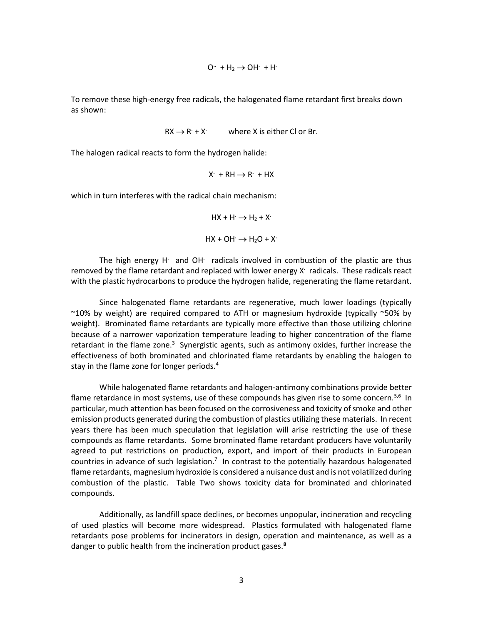$$
O^{\cdot\cdot}~+H_2\to OH^{\cdot}~+H^{\cdot}
$$

To remove these high-energy free radicals, the halogenated flame retardant first breaks down as shown:

$$
RX \rightarrow R^+ + X^+
$$
 where X is either Cl or Br.

The halogen radical reacts to form the hydrogen halide:

$$
X^{\cdot} \, + \, R H \rightarrow R^{\cdot} \, + \, H X
$$

which in turn interferes with the radical chain mechanism:

$$
HX + H' \rightarrow H_2 + X'
$$
  

$$
HX + OH' \rightarrow H_2O + X'
$$

The high energy H<sup>.</sup> and OH<sup>.</sup> radicals involved in combustion of the plastic are thus removed by the flame retardant and replaced with lower energy X<sup>.</sup> radicals. These radicals react with the plastic hydrocarbons to produce the hydrogen halide, regenerating the flame retardant.

Since halogenated flame retardants are regenerative, much lower loadings (typically ~10% by weight) are required compared to ATH or magnesium hydroxide (typically ~50% by weight). Brominated flame retardants are typically more effective than those utilizing chlorine because of a narrower vaporization temperature leading to higher concentration of the flame retardant in the flame zone.<sup>3</sup> Synergistic agents, such as antimony oxides, further increase the effectiveness of both brominated and chlorinated flame retardants by enabling the halogen to stay in the flame zone for longer periods.<sup>4</sup>

While halogenated flame retardants and halogen-antimony combinations provide better flame retardance in most systems, use of these compounds has given rise to some concern.<sup>5,6</sup> In particular, much attention has been focused on the corrosiveness and toxicity of smoke and other emission products generated during the combustion of plastics utilizing these materials. In recent years there has been much speculation that legislation will arise restricting the use of these compounds as flame retardants. Some brominated flame retardant producers have voluntarily agreed to put restrictions on production, export, and import of their products in European countries in advance of such legislation.<sup>7</sup> In contrast to the potentially hazardous halogenated flame retardants, magnesium hydroxide is considered a nuisance dust and is not volatilized during combustion of the plastic. Table Two shows toxicity data for brominated and chlorinated compounds.

Additionally, as landfill space declines, or becomes unpopular, incineration and recycling of used plastics will become more widespread. Plastics formulated with halogenated flame retardants pose problems for incinerators in design, operation and maintenance, as well as a danger to public health from the incineration product gases.**8**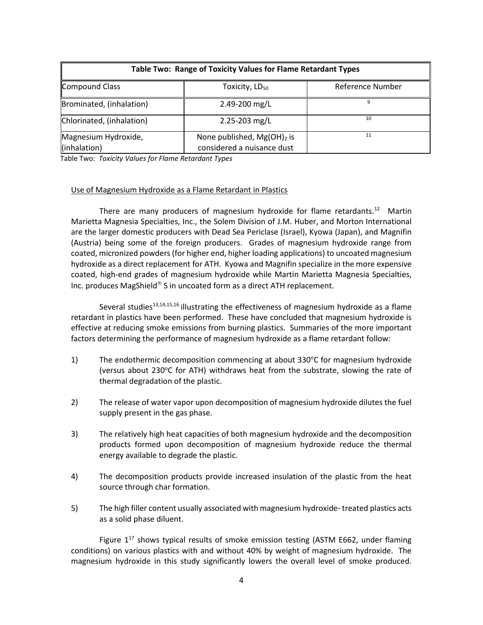| Table Two: Range of Toxicity Values for Flame Retardant Types |                                                             |                         |  |  |
|---------------------------------------------------------------|-------------------------------------------------------------|-------------------------|--|--|
| Compound Class                                                | Toxicity, LD <sub>50</sub>                                  | <b>Reference Number</b> |  |  |
| Brominated, (inhalation)                                      | 2.49-200 mg/L                                               | q                       |  |  |
| Chlorinated, (inhalation)                                     | 2.25-203 mg/L                                               | 10                      |  |  |
| Magnesium Hydroxide,<br>(inhalation)                          | None published, $Mg(OH)_2$ is<br>considered a nuisance dust | 11                      |  |  |

Table Two: *Toxicity Values for Flame Retardant Types*

## Use of Magnesium Hydroxide as a Flame Retardant in Plastics

There are many producers of magnesium hydroxide for flame retardants.<sup>12</sup> Martin Marietta Magnesia Specialties, Inc., the Solem Division of J.M. Huber, and Morton International are the larger domestic producers with Dead Sea Periclase (Israel), Kyowa (Japan), and Magnifin (Austria) being some of the foreign producers. Grades of magnesium hydroxide range from coated, micronized powders (for higher end, higher loading applications) to uncoated magnesium hydroxide as a direct replacement for ATH. Kyowa and Magnifin specialize in the more expensive coated, high-end grades of magnesium hydroxide while Martin Marietta Magnesia Specialties, Inc. produces MagShield<sup>®</sup> S in uncoated form as a direct ATH replacement.

Several studies<sup>13,14,15,16</sup> illustrating the effectiveness of magnesium hydroxide as a flame retardant in plastics have been performed. These have concluded that magnesium hydroxide is effective at reducing smoke emissions from burning plastics. Summaries of the more important factors determining the performance of magnesium hydroxide as a flame retardant follow:

- 1) The endothermic decomposition commencing at about 330°C for magnesium hydroxide (versus about 230 $\degree$ C for ATH) withdraws heat from the substrate, slowing the rate of thermal degradation of the plastic.
- 2) The release of water vapor upon decomposition of magnesium hydroxide dilutes the fuel supply present in the gas phase.
- 3) The relatively high heat capacities of both magnesium hydroxide and the decomposition products formed upon decomposition of magnesium hydroxide reduce the thermal energy available to degrade the plastic.
- 4) The decomposition products provide increased insulation of the plastic from the heat source through char formation.
- 5) The high filler content usually associated with magnesium hydroxide- treated plastics acts as a solid phase diluent.

Figure  $1^{17}$  shows typical results of smoke emission testing (ASTM E662, under flaming conditions) on various plastics with and without 40% by weight of magnesium hydroxide. The magnesium hydroxide in this study significantly lowers the overall level of smoke produced.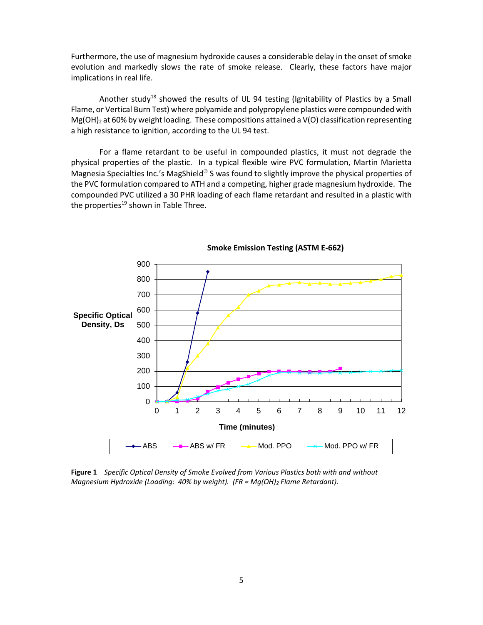Furthermore, the use of magnesium hydroxide causes a considerable delay in the onset of smoke evolution and markedly slows the rate of smoke release. Clearly, these factors have major implications in real life.

Another study<sup>18</sup> showed the results of UL 94 testing (Ignitability of Plastics by a Small Flame, or Vertical Burn Test) where polyamide and polypropylene plastics were compounded with  $Mg(OH)_2$  at 60% by weight loading. These compositions attained a  $V(O)$  classification representing a high resistance to ignition, according to the UL 94 test.

For a flame retardant to be useful in compounded plastics, it must not degrade the physical properties of the plastic. In a typical flexible wire PVC formulation, Martin Marietta Magnesia Specialties Inc.'s MagShield® S was found to slightly improve the physical properties of the PVC formulation compared to ATH and a competing, higher grade magnesium hydroxide. The compounded PVC utilized a 30 PHR loading of each flame retardant and resulted in a plastic with the properties $19$  shown in Table Three.



 **Smoke Emission Testing (ASTM E-662)**

**Figure 1** *Specific Optical Density of Smoke Evolved from Various Plastics both with and without Magnesium Hydroxide (Loading: 40% by weight). (FR = Mg(OH)<sup>2</sup> Flame Retardant).*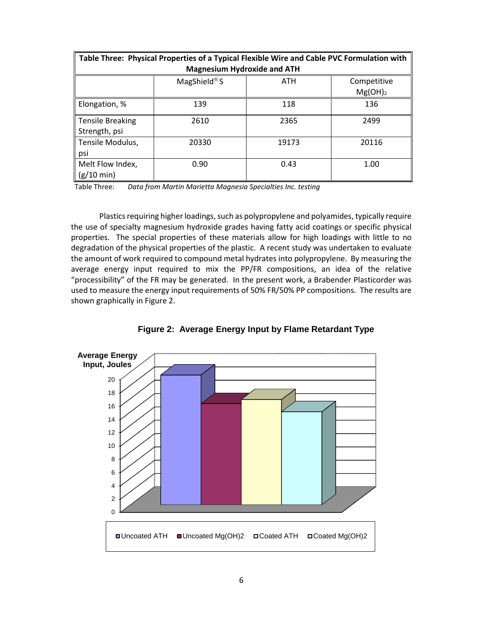| Table Three: Physical Properties of a Typical Flexible Wire and Cable PVC Formulation with |              |       |             |  |  |
|--------------------------------------------------------------------------------------------|--------------|-------|-------------|--|--|
| <b>Magnesium Hydroxide and ATH</b>                                                         |              |       |             |  |  |
|                                                                                            | MagShield® S | ATH   | Competitive |  |  |
|                                                                                            |              |       | $Mg(OH)_2$  |  |  |
| Elongation, %                                                                              | 139          | 118   | 136         |  |  |
| Tensile Breaking                                                                           | 2610         | 2365  | 2499        |  |  |
| Strength, psi                                                                              |              |       |             |  |  |
| Tensile Modulus,                                                                           | 20330        | 19173 | 20116       |  |  |
| psi                                                                                        |              |       |             |  |  |
| Melt Flow Index,                                                                           | 0.90         | 0.43  | 1.00        |  |  |
| $(g/10 \text{ min})$                                                                       |              |       |             |  |  |

Table Three: *Data from Martin Marietta Magnesia Specialties Inc. testing*

Plastics requiring higher loadings, such as polypropylene and polyamides, typically require the use of specialty magnesium hydroxide grades having fatty acid coatings or specific physical properties. The special properties of these materials allow for high loadings with little to no degradation of the physical properties of the plastic. A recent study was undertaken to evaluate the amount of work required to compound metal hydrates into polypropylene. By measuring the average energy input required to mix the PP/FR compositions, an idea of the relative "processibility" of the FR may be generated. In the present work, a Brabender Plasticorder was used to measure the energy input requirements of 50% FR/50% PP compositions. The results are shown graphically in Figure 2.



**Figure 2: Average Energy Input by Flame Retardant Type**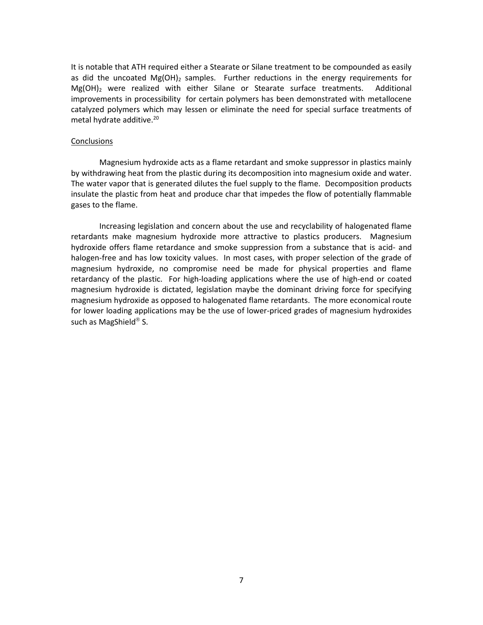It is notable that ATH required either a Stearate or Silane treatment to be compounded as easily as did the uncoated  $Mg(OH)_2$  samples. Further reductions in the energy requirements for Mg(OH)<sup>2</sup> were realized with either Silane or Stearate surface treatments. Additional improvements in processibility for certain polymers has been demonstrated with metallocene catalyzed polymers which may lessen or eliminate the need for special surface treatments of metal hydrate additive.<sup>20</sup>

#### **Conclusions**

Magnesium hydroxide acts as a flame retardant and smoke suppressor in plastics mainly by withdrawing heat from the plastic during its decomposition into magnesium oxide and water. The water vapor that is generated dilutes the fuel supply to the flame. Decomposition products insulate the plastic from heat and produce char that impedes the flow of potentially flammable gases to the flame.

Increasing legislation and concern about the use and recyclability of halogenated flame retardants make magnesium hydroxide more attractive to plastics producers. Magnesium hydroxide offers flame retardance and smoke suppression from a substance that is acid- and halogen-free and has low toxicity values. In most cases, with proper selection of the grade of magnesium hydroxide, no compromise need be made for physical properties and flame retardancy of the plastic. For high-loading applications where the use of high-end or coated magnesium hydroxide is dictated, legislation maybe the dominant driving force for specifying magnesium hydroxide as opposed to halogenated flame retardants. The more economical route for lower loading applications may be the use of lower-priced grades of magnesium hydroxides such as MagShield<sup>®</sup> S.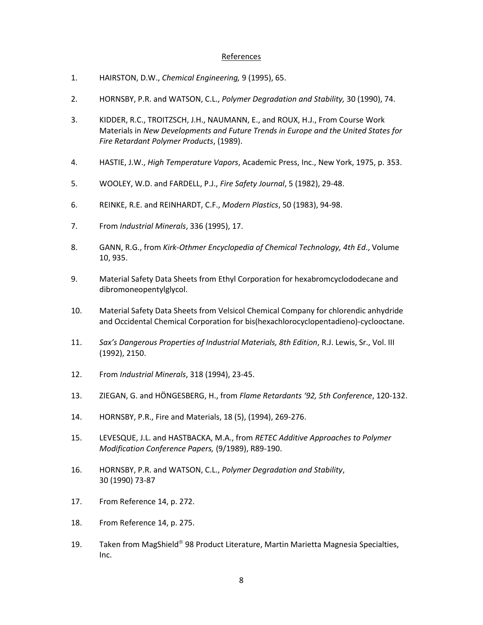### **References**

- 1. HAIRSTON, D.W., *Chemical Engineering,* 9 (1995), 65.
- 2. HORNSBY, P.R. and WATSON, C.L., *Polymer Degradation and Stability,* 30 (1990), 74.
- 3. KIDDER, R.C., TROITZSCH, J.H., NAUMANN, E., and ROUX, H.J., From Course Work Materials in *New Developments and Future Trends in Europe and the United States for Fire Retardant Polymer Products*, (1989).
- 4. HASTIE, J.W., *High Temperature Vapors*, Academic Press, Inc., New York, 1975, p. 353.
- 5. WOOLEY, W.D. and FARDELL, P.J., *Fire Safety Journal*, 5 (1982), 29-48.
- 6. REINKE, R.E. and REINHARDT, C.F., *Modern Plastics*, 50 (1983), 94-98.
- 7. From *Industrial Minerals*, 336 (1995), 17.
- 8. GANN, R.G., from *Kirk-Othmer Encyclopedia of Chemical Technology, 4th Ed*., Volume 10, 935.
- 9. Material Safety Data Sheets from Ethyl Corporation for hexabromcyclododecane and dibromoneopentylglycol.
- 10. Material Safety Data Sheets from Velsicol Chemical Company for chlorendic anhydride and Occidental Chemical Corporation for bis(hexachlorocyclopentadieno)-cyclooctane.
- 11. *Sax's Dangerous Properties of Industrial Materials, 8th Edition*, R.J. Lewis, Sr., Vol. III (1992), 2150.
- 12. From *Industrial Minerals*, 318 (1994), 23-45.
- 13. ZIEGAN, G. and HÖNGESBERG, H., from *Flame Retardants '92, 5th Conference*, 120-132.
- 14. HORNSBY, P.R., Fire and Materials, 18 (5), (1994), 269-276.
- 15. LEVESQUE, J.L. and HASTBACKA, M.A., from *RETEC Additive Approaches to Polymer Modification Conference Papers,* (9/1989), R89-190.
- 16. HORNSBY, P.R. and WATSON, C.L., *Polymer Degradation and Stability*, 30 (1990) 73-87
- 17. From Reference 14, p. 272.
- 18. From Reference 14, p. 275.
- 19. Taken from MagShield<sup>®</sup> 98 Product Literature, Martin Marietta Magnesia Specialties, Inc.